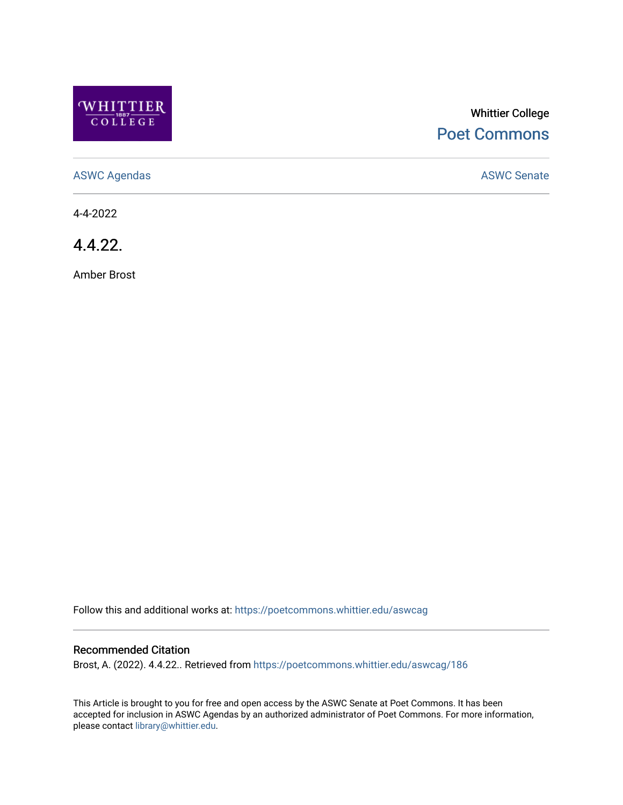

# Whittier College [Poet Commons](https://poetcommons.whittier.edu/)

[ASWC Agendas](https://poetcommons.whittier.edu/aswcag) **ASWC Senate** 

4-4-2022

4.4.22.

Amber Brost

Follow this and additional works at: [https://poetcommons.whittier.edu/aswcag](https://poetcommons.whittier.edu/aswcag?utm_source=poetcommons.whittier.edu%2Faswcag%2F186&utm_medium=PDF&utm_campaign=PDFCoverPages) 

## Recommended Citation

Brost, A. (2022). 4.4.22.. Retrieved from [https://poetcommons.whittier.edu/aswcag/186](https://poetcommons.whittier.edu/aswcag/186?utm_source=poetcommons.whittier.edu%2Faswcag%2F186&utm_medium=PDF&utm_campaign=PDFCoverPages)

This Article is brought to you for free and open access by the ASWC Senate at Poet Commons. It has been accepted for inclusion in ASWC Agendas by an authorized administrator of Poet Commons. For more information, please contact [library@whittier.edu](mailto:library@whittier.edu).